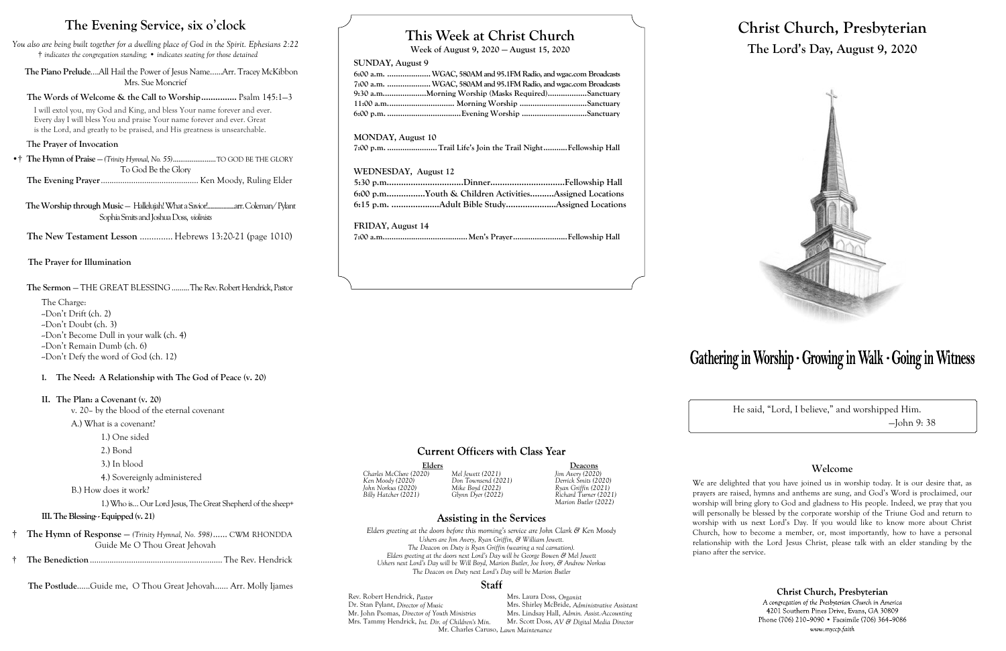# **This Week at Christ Church**

**Week of August 9, 2020 — August 15, 2020**

# **SUNDAY, August 9**

**6:00 a.m. ....................WGAC, 580AM and 95.1FM Radio, and wgac.com Broadcasts 7:00 a.m. ....................WGAC, 580AM and 95.1FM Radio, and wgac.com Broadcasts 9:30 a.m....................Morning Worship (Masks Required)..................Sanctuary 11:00 a.m............................... Morning Worship ...............................Sanctuary 6:00 p.m. ..................................Evening Worship ..............................Sanctuary**

# **MONDAY, August 10**

**7:00 p.m. .......................Trail Life's Join the Trail Night...........Fellowship Hall**

Elders Deacons<br>
20) Mel Jewett (2021) Jim Avery (2020) *Charles McClure (2020) Mel Jewett (2021) Jim Avery (2020) Billy Hatcher (2021) Glynn Dyer (2022) Richard Turner (2021) Marion Butler (2022)*

# **Assisting in the Services**

# **WEDNESDAY, August 12**

| 5:30 p.mDinnerFellowship Hall                         |  |
|-------------------------------------------------------|--|
| 6:00 p.mYouth & Children ActivitiesAssigned Locations |  |
|                                                       |  |

**FRIDAY, August 14**

**7:00 a.m.......................................Men's Prayer.........................Fellowship Hall**

# **Current Officers with Class Year**

Rev. Robert Hendrick, *Pastor* Mrs. Laura Doss, *Organist*<br>
Dr. Stan Pylant, *Director of Music* Mrs. Shirley McBride, *Adr* Dr. Stan Pylant, *Director of Music* Mrs. Shirley McBride, *Administrative Assistant* Mr. John Psomas, *Director of Youth Ministries* Mrs. Lindsay Hall, *Admin. Assist.-Accounting* Mrs. Tammy Hendrick, *Int. Dir. of Children's Min.* Mr. Charles Caruso, *Lawn Maintenance*

# Gathering in Worship · Growing in Walk · Going in Witness

*Ken Moody (2020) Don Townsend (2021) Derrick Smits (2020) John Norkus (2020) Mike Boyd (2022) Ryan Griffin (2021)*

*Elders greeting at the doors before this morning's service are John Clark & Ken Moody Ushers are Jim Avery, Ryan Griffin, & William Jewett. The Deacon on Duty is Ryan Griffin (wearing a red carnation). Elders greeting at the doors next Lord's Day will be George Bowen & Mel Jewett Ushers next Lord's Day will be Will Boyd, Marion Butler, Joe Ivory, & Andrew Norkus The Deacon on Duty next Lord's Day will be Marion Butler*

## Staff

# **Christ Church, Presbyterian The Lord's Day, August 9, 2020**



He said, "Lord, I believe," and worshipped Him. —John 9: 38

# **Welcome**

We are delighted that you have joined us in worship today. It is our desire that, as prayers are raised, hymns and anthems are sung, and God's Word is proclaimed, our worship will bring glory to God and gladness to His people. Indeed, we pray that you will personally be blessed by the corporate worship of the Triune God and return to worship with us next Lord's Day. If you would like to know more about Christ Church, how to become a member, or, most importantly, how to have a personal relationship with the Lord Jesus Christ, please talk with an elder standing by the

Christ Church, Presbyterian

A congregation of the Presbyterian Church in America 4201 Southern Pines Drive, Evans, GA 30809 Phone (706) 210-9090 • Facsimile (706) 364-9086 www.myccp.faith

piano after the service.

# **The Evening Service, six o**'**clock**

*You also are being built together for a dwelling place of God in the Spirit. Ephesians 2:22* † *indicates the congregation standing;* • *indicates seating for those detained*

 **The Piano Prelude**….All Hail the Power of Jesus Name…...Arr. Tracey McKibbon Mrs. Sue Moncrief

# **The Words of Welcome & the Call to Worship...............** Psalm 145:1—3

I will extol you, my God and King, and bless Your name forever and ever. Every day I will bless You and praise Your name forever and ever. Great is the Lord, and greatly to be praised, and His greatness is unsearchable.

# T**he Prayer of Invocation**

•† **The Hymn of Praise** — *(Trinity Hymnal, No. 55)*.......................TO GOD BE THE GLORY To God Be the Glory

**The Evening Prayer**............................................. Ken Moody, Ruling Elder

 **The Worship through Music** — Hallelujah! What a Savior!...................arr. Coleman/ Pylant Sophia Smits and Joshua Doss, *violinists*

**The New Testament Lesson** .............. Hebrews 13:20-21 (page 1010)

 **The Prayer for Illumination**

 **The Sermon** — THE GREAT BLESSING.........The Rev. Robert Hendrick, Pastor

The Charge: --Don't Drift (ch. 2) --Don't Doubt (ch. 3) --Don't Become Dull in your walk (ch. 4) --Don't Remain Dumb (ch. 6) --Don't Defy the word of God (ch. 12)

# **I. The Need: A Relationship with The God of Peace (v. 20)**

## **II. The Plan: a Covenant (v. 20)**

v. 20– by the blood of the eternal covenant

- A.) What is a covenant?
	- 1.) One sided
	- 2.) Bond
	- 3.) In blood

# 4.) Sovereignly administered

B.) How does it work?

1.) Who is… Our Lord Jesus, The Great Shepherd of the sheep+

**III. The Blessing- -Equipped (v. 21)** 

- † **The Hymn of Response**  *(Trinity Hymnal, No. 598)*...... CWM RHONDDA Guide Me O Thou Great Jehovah
- † **The Benediction**............................................................. The Rev. Hendrick

 **The Postlude**…...Guide me, O Thou Great Jehovah…… Arr. Molly Ijames